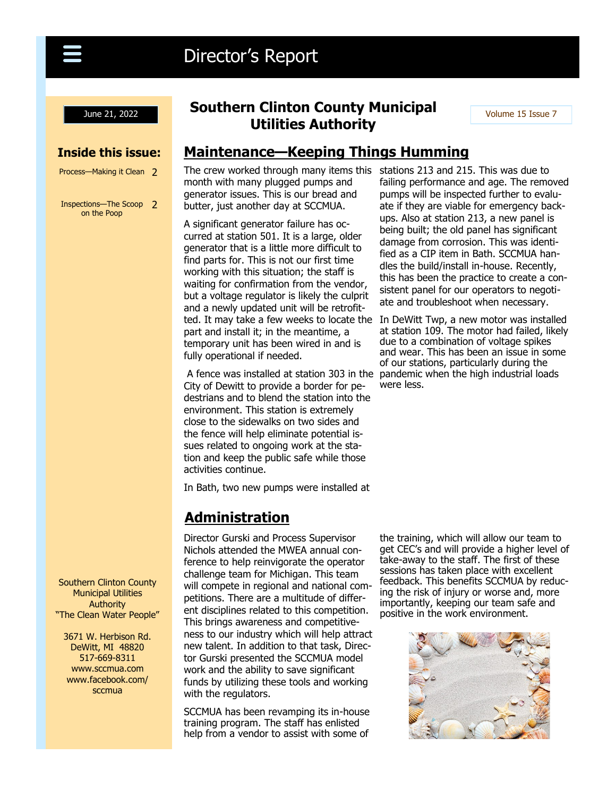

# Director's Report

#### **Inside this issue:**

Process-Making it Clean 2

Inspections—The Scoop 2 on the Poop

## **June 21, 2022 Couthern Clinton County Municipal** Volume 15 Issue 7 **Utilities Authority**

## **Maintenance—Keeping Things Humming**

The crew worked through many items this stations 213 and 215. This was due to month with many plugged pumps and generator issues. This is our bread and butter, just another day at SCCMUA.

A significant generator failure has occurred at station 501. It is a large, older generator that is a little more difficult to find parts for. This is not our first time working with this situation; the staff is waiting for confirmation from the vendor, but a voltage regulator is likely the culprit and a newly updated unit will be retrofitpart and install it; in the meantime, a temporary unit has been wired in and is fully operational if needed.

A fence was installed at station 303 in the pandemic when the high industrial loads City of Dewitt to provide a border for pedestrians and to blend the station into the environment. This station is extremely close to the sidewalks on two sides and the fence will help eliminate potential issues related to ongoing work at the station and keep the public safe while those activities continue.

In Bath, two new pumps were installed at

## **Administration**

Director Gurski and Process Supervisor Nichols attended the MWEA annual conference to help reinvigorate the operator challenge team for Michigan. This team will compete in regional and national competitions. There are a multitude of different disciplines related to this competition. This brings awareness and competitiveness to our industry which will help attract new talent. In addition to that task, Director Gurski presented the SCCMUA model work and the ability to save significant funds by utilizing these tools and working with the regulators.

SCCMUA has been revamping its in-house training program. The staff has enlisted help from a vendor to assist with some of

failing performance and age. The removed pumps will be inspected further to evaluate if they are viable for emergency backups. Also at station 213, a new panel is being built; the old panel has significant damage from corrosion. This was identified as a CIP item in Bath. SCCMUA handles the build/install in-house. Recently, this has been the practice to create a consistent panel for our operators to negotiate and troubleshoot when necessary.

ted. It may take a few weeks to locate the In DeWitt Twp, a new motor was installed at station 109. The motor had failed, likely due to a combination of voltage spikes and wear. This has been an issue in some of our stations, particularly during the were less.

> the training, which will allow our team to get CEC's and will provide a higher level of take-away to the staff. The first of these sessions has taken place with excellent feedback. This benefits SCCMUA by reducing the risk of injury or worse and, more importantly, keeping our team safe and positive in the work environment.



Southern Clinton County Municipal Utilities Authority "The Clean Water People"

3671 W. Herbison Rd. DeWitt, MI 48820 517-669-8311 www.sccmua.com www.facebook.com/ sccmua